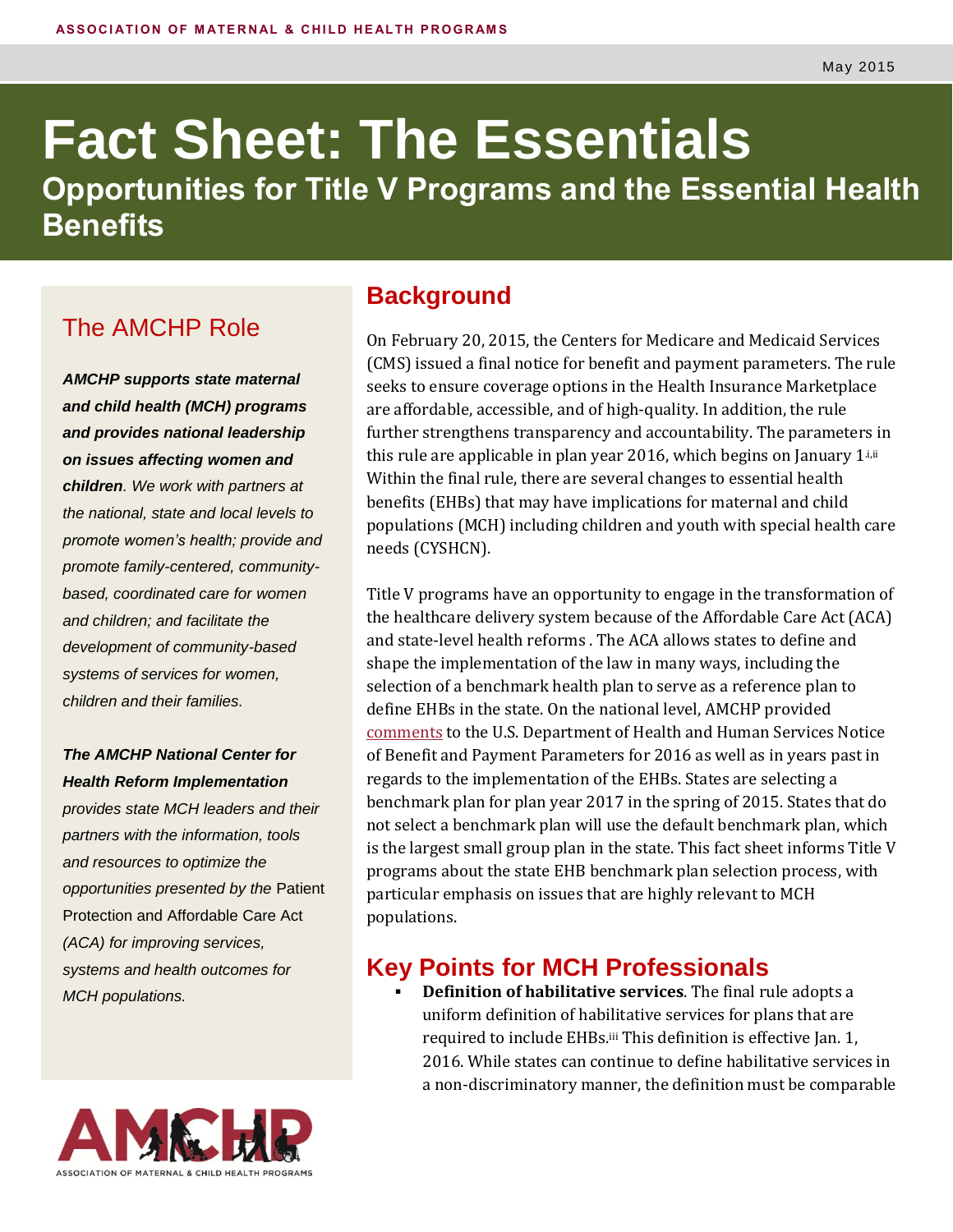# **Fact Sheet: The Essentials Opportunities for Title V Programs and the Essential Health Benefits**

### The AMCHP Role

*AMCHP supports state maternal and child health (MCH) programs and provides national leadership on issues affecting women and children. We work with partners at the national, state and local levels to promote women's health; provide and promote family-centered, communitybased, coordinated care for women and children; and facilitate the development of community-based systems of services for women, children and their families.*

*The AMCHP National Center for Health Reform Implementation*

*provides state MCH leaders and their partners with the information, tools and resources to optimize the opportunities presented by the* Patient Protection and Affordable Care Act *(ACA) for improving services, systems and health outcomes for MCH populations.*

#### **Background**

On February 20, 2015, the Centers for Medicare and Medicaid Services (CMS) issued a final notice for benefit and payment parameters. The rule seeks to ensure coverage options in the Health Insurance Marketplace are affordable, accessible, and of high-quality. In addition, the rule further strengthens transparency and accountability. The parameters in this rule are applicable in plan year 2016, which begins on January  $1^{i}$ ,  $i$ Within the final rule, there are several changes to essential health benefits (EHBs) that may have implications for maternal and child populations (MCH) including children and youth with special health care needs (CYSHCN).

Title V programs have an opportunity to engage in the transformation of the healthcare delivery system because of the Affordable Care Act (ACA) and state-level health reforms . The ACA allows states to define and shape the implementation of the law in many ways, including the selection of a benchmark health plan to serve as a reference plan to define EHBs in the state. On the national level, AMCHP provided [comments](http://www.amchp.org/Transformation-Station/Documents/AMCHP%20EHB%20Comments%2012%2019%202014.pdf) to the U.S. Department of Health and Human Services Notice of Benefit and Payment Parameters for 2016 as well as in years past in regards to the implementation of the EHBs. States are selecting a benchmark plan for plan year 2017 in the spring of 2015. States that do not select a benchmark plan will use the default benchmark plan, which is the largest small group plan in the state. This fact sheet informs Title V programs about the state EHB benchmark plan selection process, with particular emphasis on issues that are highly relevant to MCH populations.

#### **Key Points for MCH Professionals**

 **Definition of habilitative services**. The final rule adopts a uniform definition of habilitative services for plans that are required to include EHBs. iii This definition is effective Jan. 1, 2016. While states can continue to define habilitative services in a non-discriminatory manner, the definition must be comparable

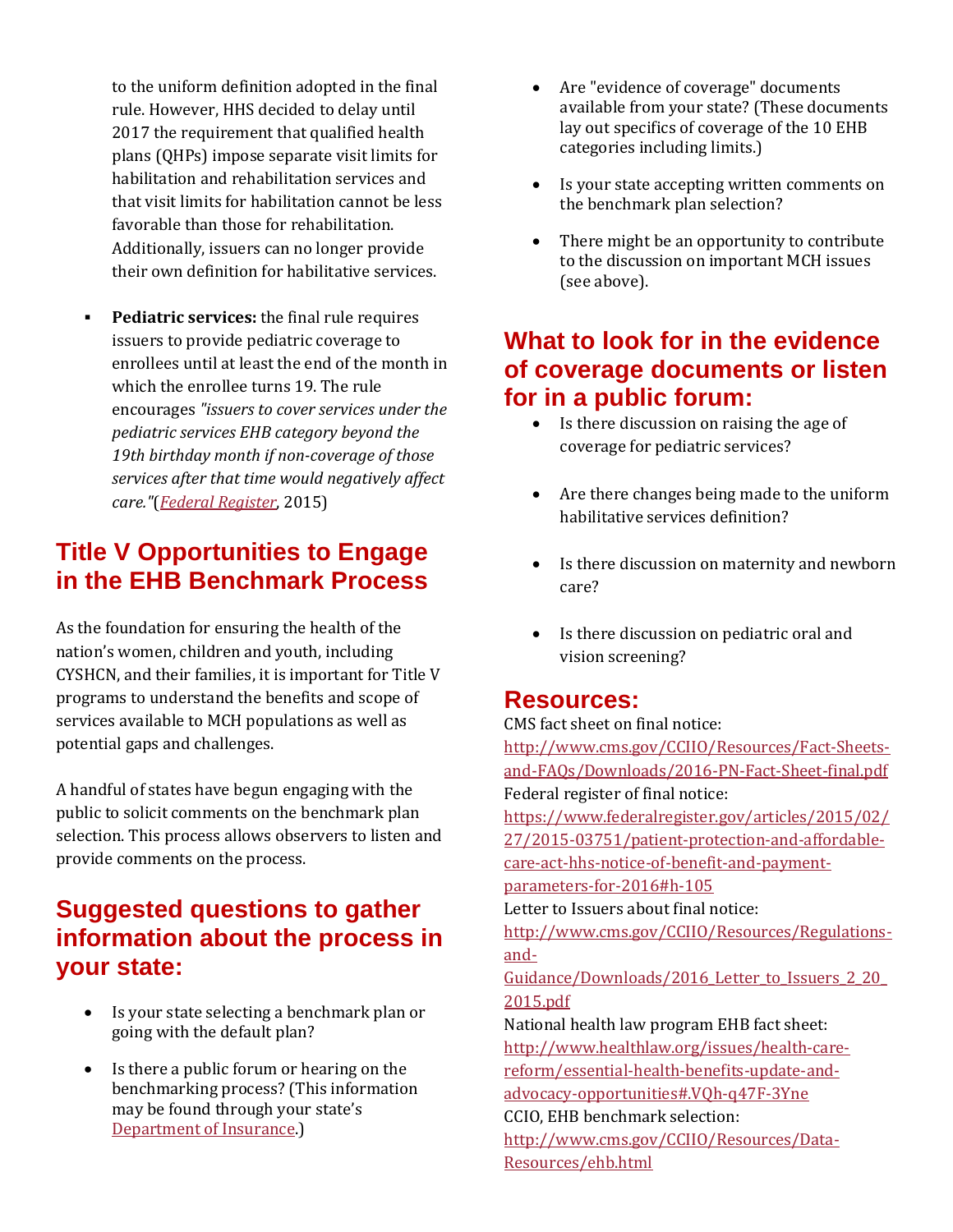to the uniform definition adopted in the final rule. However, HHS decided to delay until 2017 the requirement that qualified health plans (QHPs) impose separate visit limits for habilitation and rehabilitation services and that visit limits for habilitation cannot be less favorable than those for rehabilitation. Additionally, issuers can no longer provide their own definition for habilitative services.

 **Pediatric services:** the final rule requires issuers to provide pediatric coverage to enrollees until at least the end of the month in which the enrollee turns 19. The rule encourages *"issuers to cover services under the pediatric services EHB category beyond the 19th birthday month if non-coverage of those services after that time would negatively affect care."*(*[Federal Register](https://www.federalregister.gov/articles/2015/02/27/2015-03751/patient-protection-and-affordable-care-act-hhs-notice-of-benefit-and-payment-parameters-for-2016#h-106)*, 2015)

#### **Title V Opportunities to Engage in the EHB Benchmark Process**

As the foundation for ensuring the health of the nation's women, children and youth, including CYSHCN, and their families, it is important for Title V programs to understand the benefits and scope of services available to MCH populations as well as potential gaps and challenges.

A handful of states have begun engaging with the public to solicit comments on the benchmark plan selection. This process allows observers to listen and provide comments on the process.

#### **Suggested questions to gather information about the process in your state:**

- Is your state selecting a benchmark plan or going with the default plan?
- Is there a public forum or hearing on the benchmarking process? (This information may be found through your state's [Department of Insurance.\)](http://www.naic.org/state_web_map.htm)
- Are "evidence of coverage" documents available from your state? (These documents lay out specifics of coverage of the 10 EHB categories including limits.)
- Is your state accepting written comments on the benchmark plan selection?
- There might be an opportunity to contribute to the discussion on important MCH issues (see above).

#### **What to look for in the evidence of coverage documents or listen for in a public forum:**

- Is there discussion on raising the age of coverage for pediatric services?
- Are there changes being made to the uniform habilitative services definition?
- Is there discussion on maternity and newborn care?
- Is there discussion on pediatric oral and vision screening?

#### **Resources:**

CMS fact sheet on final notice:

[http://www.cms.gov/CCIIO/Resources/Fact-Sheets](http://www.cms.gov/CCIIO/Resources/Fact-Sheets-and-FAQs/Downloads/2016-PN-Fact-Sheet-final.pdf)[and-FAQs/Downloads/2016-PN-Fact-Sheet-final.pdf](http://www.cms.gov/CCIIO/Resources/Fact-Sheets-and-FAQs/Downloads/2016-PN-Fact-Sheet-final.pdf) Federal register of final notice:

[https://www.federalregister.gov/articles/2015/02/](https://www.federalregister.gov/articles/2015/02/27/2015-03751/patient-protection-and-affordable-care-act-hhs-notice-of-benefit-and-payment-parameters-for-2016#h-105) [27/2015-03751/patient-protection-and-affordable](https://www.federalregister.gov/articles/2015/02/27/2015-03751/patient-protection-and-affordable-care-act-hhs-notice-of-benefit-and-payment-parameters-for-2016#h-105)[care-act-hhs-notice-of-benefit-and-payment-](https://www.federalregister.gov/articles/2015/02/27/2015-03751/patient-protection-and-affordable-care-act-hhs-notice-of-benefit-and-payment-parameters-for-2016#h-105)

[parameters-for-2016#h-105](https://www.federalregister.gov/articles/2015/02/27/2015-03751/patient-protection-and-affordable-care-act-hhs-notice-of-benefit-and-payment-parameters-for-2016#h-105)

Letter to Issuers about final notice:

[http://www.cms.gov/CCIIO/Resources/Regulations](http://www.cms.gov/CCIIO/Resources/Regulations-and-Guidance/Downloads/2016_Letter_to_Issuers_2_20_2015.pdf)[and-](http://www.cms.gov/CCIIO/Resources/Regulations-and-Guidance/Downloads/2016_Letter_to_Issuers_2_20_2015.pdf)

Guidance/Downloads/2016 Letter to Issuers 2 20 [2015.pdf](http://www.cms.gov/CCIIO/Resources/Regulations-and-Guidance/Downloads/2016_Letter_to_Issuers_2_20_2015.pdf)

National health law program EHB fact sheet: [http://www.healthlaw.org/issues/health-care](http://www.healthlaw.org/issues/health-care-reform/essential-health-benefits-update-and-advocacy-opportunities#.VQh-q47F-3Yne)[reform/essential-health-benefits-update-and](http://www.healthlaw.org/issues/health-care-reform/essential-health-benefits-update-and-advocacy-opportunities#.VQh-q47F-3Yne)[advocacy-opportunities#.VQh-q47F-3Yne](http://www.healthlaw.org/issues/health-care-reform/essential-health-benefits-update-and-advocacy-opportunities#.VQh-q47F-3Yne) CCIO, EHB benchmark selection:

[http://www.cms.gov/CCIIO/Resources/Data-](http://www.cms.gov/CCIIO/Resources/Data-Resources/ehb.html)[Resources/ehb.html](http://www.cms.gov/CCIIO/Resources/Data-Resources/ehb.html)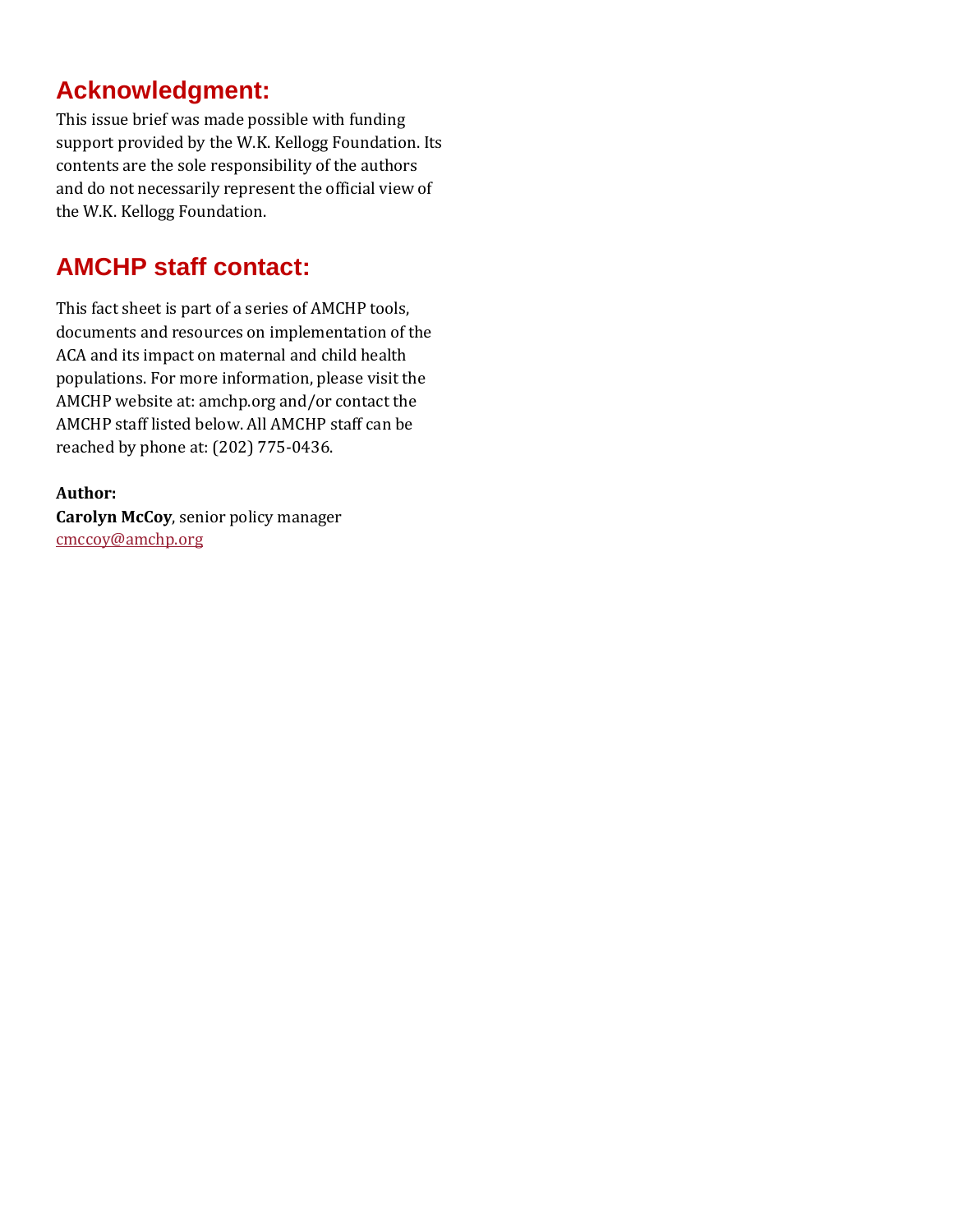#### **Acknowledgment:**

This issue brief was made possible with funding support provided by the W.K. Kellogg Foundation. Its contents are the sole responsibility of the authors and do not necessarily represent the official view of the W.K. Kellogg Foundation.

## **AMCHP staff contact:**

This fact sheet is part of a series of AMCHP tools, documents and resources on implementation of the ACA and its impact on maternal and child health populations. For more information, please visit the AMCHP website at: amchp.org and/or contact the AMCHP staff listed below. All AMCHP staff can be reached by phone at: (202) 775-0436.

#### **Author:**

**Carolyn McCoy**, senior policy manager [cmccoy@amchp.org](mailto:cmccoy@amchp.org?subject=Regarding%20EHB%20Fact%20Sheet)